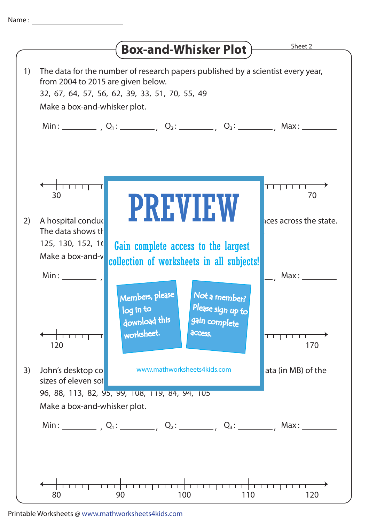